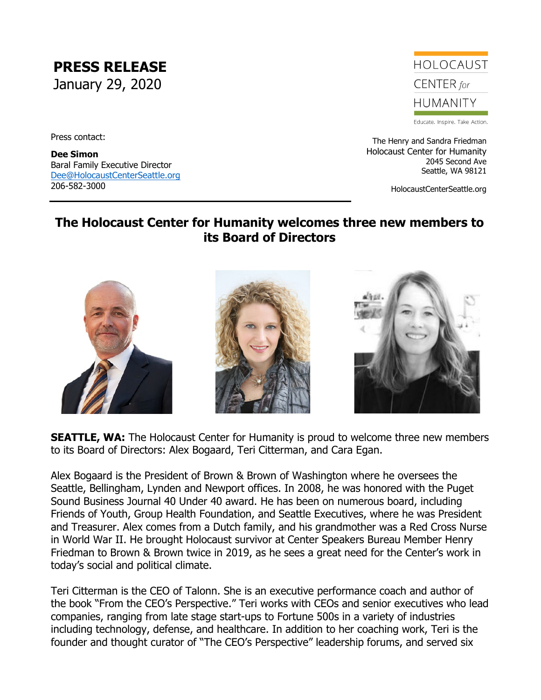**PRESS RELEASE** January 29, 2020

Press contact:

**Dee Simon** Baral Family Executive Director [Dee@HolocaustCenterSeattle.org](mailto:Dee@HolocaustCenterSeattle.org) 206-582-3000

## HOI OCAUST CENTER for **HUMANITY**

Educate. Inspire. Take Action.

The Henry and Sandra Friedman Holocaust Center for Humanity 2045 Second Ave Seattle, WA 98121

HolocaustCenterSeattle.org

## **The Holocaust Center for Humanity welcomes three new members to its Board of Directors**



**SEATTLE, WA:** The Holocaust Center for Humanity is proud to welcome three new members to its Board of Directors: Alex Bogaard, Teri Citterman, and Cara Egan.

Alex Bogaard is the President of Brown & Brown of Washington where he oversees the Seattle, Bellingham, Lynden and Newport offices. In 2008, he was honored with the Puget Sound Business Journal 40 Under 40 award. He has been on numerous board, including Friends of Youth, Group Health Foundation, and Seattle Executives, where he was President and Treasurer. Alex comes from a Dutch family, and his grandmother was a Red Cross Nurse in World War II. He brought Holocaust survivor at Center Speakers Bureau Member Henry Friedman to Brown & Brown twice in 2019, as he sees a great need for the Center's work in today's social and political climate.

Teri Citterman is the CEO of Talonn. She is an executive performance coach and author of the book "From the CEO's Perspective." Teri works with CEOs and senior executives who lead companies, ranging from late stage start-ups to Fortune 500s in a variety of industries including technology, defense, and healthcare. In addition to her coaching work, Teri is the founder and thought curator of "The CEO's Perspective" leadership forums, and served six